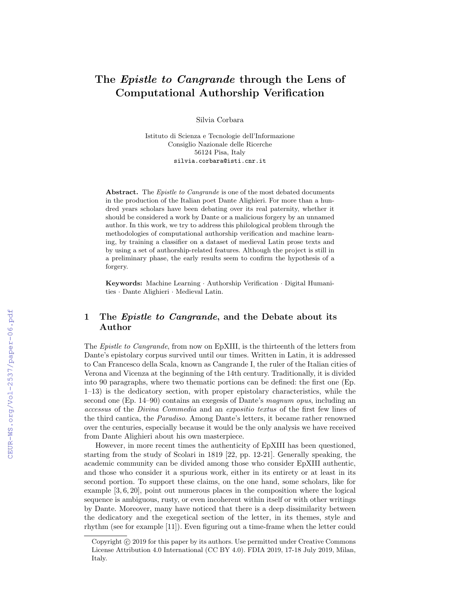# The *Epistle to Cangrande* through the Lens of Computational Authorship Verification

Silvia Corbara

Istituto di Scienza e Tecnologie dell'Informazione Consiglio Nazionale delle Ricerche 56124 Pisa, Italy silvia.corbara@isti.cnr.it

Abstract. The *Epistle to Cangrande* is one of the most debated documents in the production of the Italian poet Dante Alighieri. For more than a hundred years scholars have been debating over its real paternity, whether it should be considered a work by Dante or a malicious forgery by an unnamed author. In this work, we try to address this philological problem through the methodologies of computational authorship verification and machine learning, by training a classifier on a dataset of medieval Latin prose texts and by using a set of authorship-related features. Although the project is still in a preliminary phase, the early results seem to confirm the hypothesis of a forgery.

Keywords: Machine Learning · Authorship Verification · Digital Humanities · Dante Alighieri · Medieval Latin.

# 1 The Epistle to Cangrande, and the Debate about its Author

The Epistle to Cangrande, from now on EpXIII, is the thirteenth of the letters from Dante's epistolary corpus survived until our times. Written in Latin, it is addressed to Can Francesco della Scala, known as Cangrande I, the ruler of the Italian cities of Verona and Vicenza at the beginning of the 14th century. Traditionally, it is divided into 90 paragraphs, where two thematic portions can be defined: the first one (Ep. 1–13) is the dedicatory section, with proper epistolary characteristics, while the second one (Ep. 14–90) contains an exegesis of Dante's magnum opus, including an accessus of the Divina Commedia and an expositio textus of the first few lines of the third cantica, the Paradiso. Among Dante's letters, it became rather renowned over the centuries, especially because it would be the only analysis we have received from Dante Alighieri about his own masterpiece.

However, in more recent times the authenticity of EpXIII has been questioned, starting from the study of Scolari in 1819 [22, pp. 12-21]. Generally speaking, the academic community can be divided among those who consider EpXIII authentic, and those who consider it a spurious work, either in its entirety or at least in its second portion. To support these claims, on the one hand, some scholars, like for example [3, 6, 20], point out numerous places in the composition where the logical sequence is ambiguous, rusty, or even incoherent within itself or with other writings by Dante. Moreover, many have noticed that there is a deep dissimilarity between the dedicatory and the exegetical section of the letter, in its themes, style and rhythm (see for example [11]). Even figuring out a time-frame when the letter could

Copyright (c) 2019 for this paper by its authors. Use permitted under Creative Commons License Attribution 4.0 International (CC BY 4.0). FDIA 2019, 17-18 July 2019, Milan, Italy.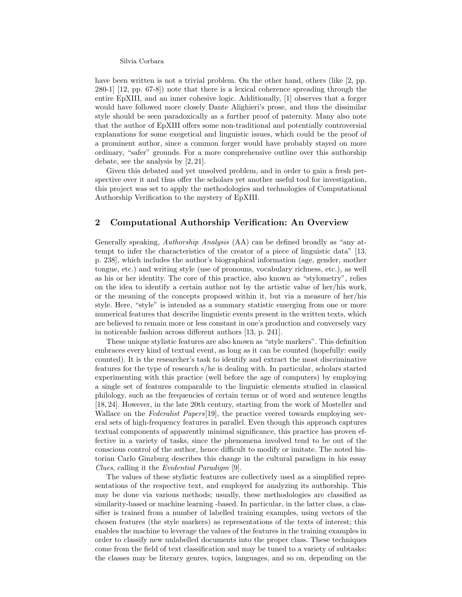#### Silvia Corbara

have been written is not a trivial problem. On the other hand, others (like [2, pp. 280-1] [12, pp. 67-8]) note that there is a lexical coherence spreading through the entire EpXIII, and an inner cohesive logic. Additionally, [1] observes that a forger would have followed more closely Dante Alighieri's prose, and thus the dissimilar style should be seen paradoxically as a further proof of paternity. Many also note that the author of EpXIII offers some non-traditional and potentially controversial explanations for some exegetical and linguistic issues, which could be the proof of a prominent author, since a common forger would have probably stayed on more ordinary, "safer" grounds. For a more comprehensive outline over this authorship debate, see the analysis by [2, 21].

Given this debated and yet unsolved problem, and in order to gain a fresh perspective over it and thus offer the scholars yet another useful tool for investigation, this project was set to apply the methodologies and technologies of Computational Authorship Verification to the mystery of EpXIII.

## 2 Computational Authorship Verification: An Overview

Generally speaking, Authorship Analysis (AA) can be defined broadly as "any attempt to infer the characteristics of the creator of a piece of linguistic data" [13, p. 238], which includes the author's biographical information (age, gender, mother tongue, etc.) and writing style (use of pronouns, vocabulary richness, etc.), as well as his or her identity. The core of this practice, also known as "stylometry", relies on the idea to identify a certain author not by the artistic value of her/his work, or the meaning of the concepts proposed within it, but via a measure of her/his style. Here, "style" is intended as a summary statistic emerging from one or more numerical features that describe linguistic events present in the written texts, which are believed to remain more or less constant in one's production and conversely vary in noticeable fashion across different authors [13, p. 241].

These unique stylistic features are also known as "style markers". This definition embraces every kind of textual event, as long as it can be counted (hopefully: easily counted). It is the researcher's task to identify and extract the most discriminative features for the type of research s/he is dealing with. In particular, scholars started experimenting with this practice (well before the age of computers) by employing a single set of features comparable to the linguistic elements studied in classical philology, such as the frequencies of certain terms or of word and sentence lengths [18, 24]. However, in the late 20th century, starting from the work of Mosteller and Wallace on the Federalist Papers [19], the practice veered towards employing several sets of high-frequency features in parallel. Even though this approach captures textual components of apparently minimal significance, this practice has proven effective in a variety of tasks, since the phenomena involved tend to be out of the conscious control of the author, hence difficult to modify or imitate. The noted historian Carlo Ginzburg describes this change in the cultural paradigm in his essay Clues, calling it the Evidential Paradigm [9].

The values of these stylistic features are collectively used as a simplified representations of the respective text, and employed for analyzing its authorship. This may be done via various methods; usually, these methodologies are classified as similarity-based or machine learning -based. In particular, in the latter class, a classifier is trained from a number of labelled training examples, using vectors of the chosen features (the style markers) as representations of the texts of interest; this enables the machine to leverage the values of the features in the training examples in order to classify new unlabelled documents into the proper class. These techniques come from the field of text classification and may be tuned to a variety of subtasks: the classes may be literary genres, topics, languages, and so on, depending on the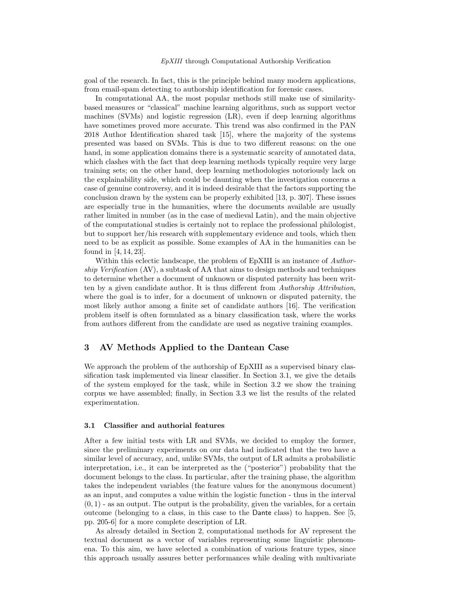#### EpXIII through Computational Authorship Verification

goal of the research. In fact, this is the principle behind many modern applications, from email-spam detecting to authorship identification for forensic cases.

In computational AA, the most popular methods still make use of similaritybased measures or "classical" machine learning algorithms, such as support vector machines (SVMs) and logistic regression (LR), even if deep learning algorithms have sometimes proved more accurate. This trend was also confirmed in the PAN 2018 Author Identification shared task [15], where the majority of the systems presented was based on SVMs. This is due to two different reasons: on the one hand, in some application domains there is a systematic scarcity of annotated data, which clashes with the fact that deep learning methods typically require very large training sets; on the other hand, deep learning methodologies notoriously lack on the explainability side, which could be daunting when the investigation concerns a case of genuine controversy, and it is indeed desirable that the factors supporting the conclusion drawn by the system can be properly exhibited [13, p. 307]. These issues are especially true in the humanities, where the documents available are usually rather limited in number (as in the case of medieval Latin), and the main objective of the computational studies is certainly not to replace the professional philologist, but to support her/his research with supplementary evidence and tools, which then need to be as explicit as possible. Some examples of AA in the humanities can be found in [4, 14, 23].

Within this eclectic landscape, the problem of EpXIII is an instance of Authorship Verification (AV), a subtask of AA that aims to design methods and techniques to determine whether a document of unknown or disputed paternity has been written by a given candidate author. It is thus different from *Authorship Attribution*, where the goal is to infer, for a document of unknown or disputed paternity, the most likely author among a finite set of candidate authors [16]. The verification problem itself is often formulated as a binary classification task, where the works from authors different from the candidate are used as negative training examples.

# 3 AV Methods Applied to the Dantean Case

We approach the problem of the authorship of EpXIII as a supervised binary classification task implemented via linear classifier. In Section 3.1, we give the details of the system employed for the task, while in Section 3.2 we show the training corpus we have assembled; finally, in Section 3.3 we list the results of the related experimentation.

#### 3.1 Classifier and authorial features

After a few initial tests with LR and SVMs, we decided to employ the former, since the preliminary experiments on our data had indicated that the two have a similar level of accuracy, and, unlike SVMs, the output of LR admits a probabilistic interpretation, i.e., it can be interpreted as the ("posterior") probability that the document belongs to the class. In particular, after the training phase, the algorithm takes the independent variables (the feature values for the anonymous document) as an input, and computes a value within the logistic function - thus in the interval  $(0, 1)$  - as an output. The output is the probability, given the variables, for a certain outcome (belonging to a class, in this case to the Dante class) to happen. See [5, pp. 205-6] for a more complete description of LR.

As already detailed in Section 2, computational methods for AV represent the textual document as a vector of variables representing some linguistic phenomena. To this aim, we have selected a combination of various feature types, since this approach usually assures better performances while dealing with multivariate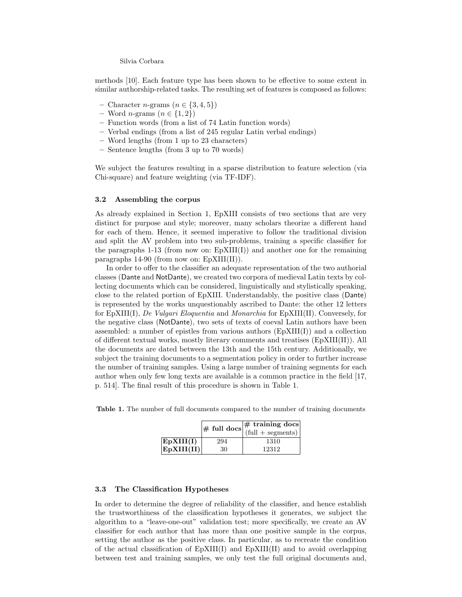Silvia Corbara

methods [10]. Each feature type has been shown to be effective to some extent in similar authorship-related tasks. The resulting set of features is composed as follows:

- Character *n*-grams  $(n \in \{3, 4, 5\})$
- Word *n*-grams  $(n \in \{1,2\})$
- Function words (from a list of 74 Latin function words)
- Verbal endings (from a list of 245 regular Latin verbal endings)
- Word lengths (from 1 up to 23 characters)
- Sentence lengths (from 3 up to 70 words)

We subject the features resulting in a sparse distribution to feature selection (via Chi-square) and feature weighting (via TF-IDF).

#### 3.2 Assembling the corpus

As already explained in Section 1, EpXIII consists of two sections that are very distinct for purpose and style; moreover, many scholars theorize a different hand for each of them. Hence, it seemed imperative to follow the traditional division and split the AV problem into two sub-problems, training a specific classifier for the paragraphs  $1-13$  (from now on: EpXIII(I)) and another one for the remaining paragraphs 14-90 (from now on: EpXIII(II)).

In order to offer to the classifier an adequate representation of the two authorial classes (Dante and NotDante), we created two corpora of medieval Latin texts by collecting documents which can be considered, linguistically and stylistically speaking, close to the related portion of EpXIII. Understandably, the positive class (Dante) is represented by the works unquestionably ascribed to Dante: the other 12 letters for EpXIII(I), De Vulgari Eloquentia and Monarchia for EpXIII(II). Conversely, for the negative class (NotDante), two sets of texts of coeval Latin authors have been assembled: a number of epistles from various authors  $(EpXIII(I))$  and a collection of different textual works, mostly literary comments and treatises (EpXIII(II)). All the documents are dated between the 13th and the 15th century. Additionally, we subject the training documents to a segmentation policy in order to further increase the number of training samples. Using a large number of training segments for each author when only few long texts are available is a common practice in the field [17, p. 514]. The final result of this procedure is shown in Table 1.

|                 |     | $\#$ full docs $\#$ training docs<br>(full + segments) |
|-----------------|-----|--------------------------------------------------------|
| $\rm EpXIII(I)$ | 294 | 1310                                                   |
| EpXIII(II)      | 30  | 12312                                                  |

### 3.3 The Classification Hypotheses

In order to determine the degree of reliability of the classifier, and hence establish the trustworthiness of the classification hypotheses it generates, we subject the algorithm to a "leave-one-out" validation test; more specifically, we create an AV classifier for each author that has more than one positive sample in the corpus, setting the author as the positive class. In particular, as to recreate the condition of the actual classification of EpXIII(I) and EpXIII(II) and to avoid overlapping between test and training samples, we only test the full original documents and,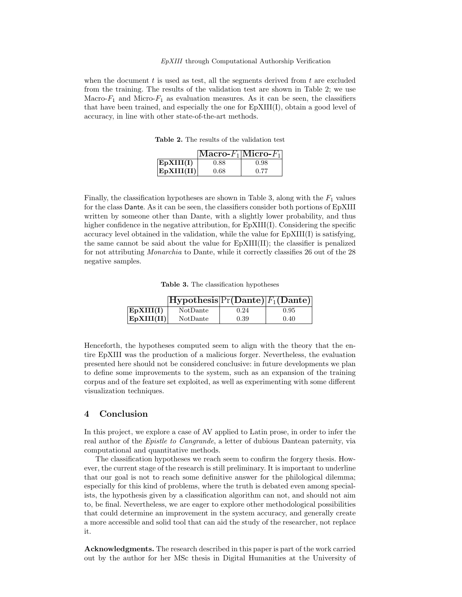#### EpXIII through Computational Authorship Verification

when the document  $t$  is used as test, all the segments derived from  $t$  are excluded from the training. The results of the validation test are shown in Table 2; we use Macro- $F_1$  and Micro- $F_1$  as evaluation measures. As it can be seen, the classifiers that have been trained, and especially the one for EpXIII(I), obtain a good level of accuracy, in line with other state-of-the-art methods.

Table 2. The results of the validation test

|            | $[Macco-F_1]Micro-F_1]$ |      |
|------------|-------------------------|------|
| EpXIII(I)  | 0.88                    | 0.98 |
| EpXIII(II) | 0.68                    | 0.77 |

Finally, the classification hypotheses are shown in Table 3, along with the  $F_1$  values for the class Dante. As it can be seen, the classifiers consider both portions of EpXIII written by someone other than Dante, with a slightly lower probability, and thus higher confidence in the negative attribution, for  $EpXIII(I)$ . Considering the specific accuracy level obtained in the validation, while the value for  $EpXIII(I)$  is satisfying, the same cannot be said about the value for EpXIII(II); the classifier is penalized for not attributing Monarchia to Dante, while it correctly classifies 26 out of the 28 negative samples.

Table 3. The classification hypotheses

|            | $[Hypothesis]Pr(Dante) F_1(Dante) $ |      |      |
|------------|-------------------------------------|------|------|
| EpXIII(I)  | NotDante                            | 0.24 | 0.95 |
| EpXIII(II) | NotDante                            | 0.39 | 0.40 |

Henceforth, the hypotheses computed seem to align with the theory that the entire EpXIII was the production of a malicious forger. Nevertheless, the evaluation presented here should not be considered conclusive: in future developments we plan to define some improvements to the system, such as an expansion of the training corpus and of the feature set exploited, as well as experimenting with some different visualization techniques.

### 4 Conclusion

In this project, we explore a case of AV applied to Latin prose, in order to infer the real author of the Epistle to Cangrande, a letter of dubious Dantean paternity, via computational and quantitative methods.

The classification hypotheses we reach seem to confirm the forgery thesis. However, the current stage of the research is still preliminary. It is important to underline that our goal is not to reach some definitive answer for the philological dilemma; especially for this kind of problems, where the truth is debated even among specialists, the hypothesis given by a classification algorithm can not, and should not aim to, be final. Nevertheless, we are eager to explore other methodological possibilities that could determine an improvement in the system accuracy, and generally create a more accessible and solid tool that can aid the study of the researcher, not replace it.

Acknowledgments. The research described in this paper is part of the work carried out by the author for her MSc thesis in Digital Humanities at the University of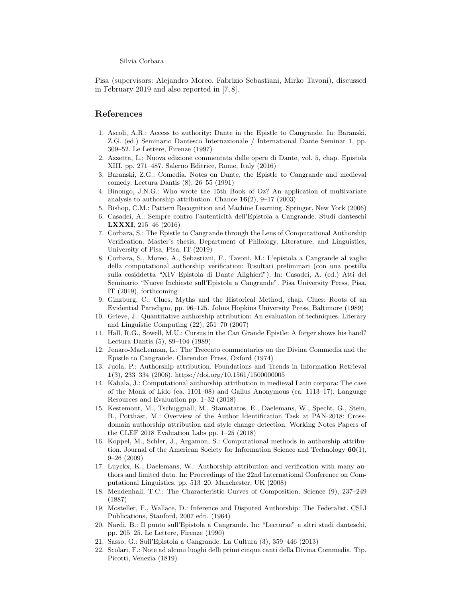Silvia Corbara

Pisa (supervisors: Alejandro Moreo, Fabrizio Sebastiani, Mirko Tavoni), discussed in February 2019 and also reported in [7, 8].

# References

- 1. Ascoli, A.R.: Access to authority: Dante in the Epistle to Cangrande. In: Baranski, Z.G. (ed.) Seminario Dantesco Internazionale / International Dante Seminar 1, pp. 309–52. Le Lettere, Firenze (1997)
- 2. Azzetta, L.: Nuova edizione commentata delle opere di Dante, vol. 5, chap. Epistola XIII, pp. 271–487. Salerno Editrice, Rome, Italy (2016)
- 3. Baranski, Z.G.: Comedía. Notes on Dante, the Epistle to Cangrande and medieval comedy. Lectura Dantis (8), 26–55 (1991)
- 4. Binongo, J.N.G.: Who wrote the 15th Book of Oz? An application of multivariate analysis to authorship attribution. Chance  $16(2)$ , 9–17 (2003)
- 5. Bishop, C.M.: Pattern Recognition and Machine Learning. Springer, New York (2006)
- 6. Casadei, A.: Sempre contro l'autenticità dell'Epistola a Cangrande. Studi danteschi LXXXI, 215–46 (2016)
- 7. Corbara, S.: The Epistle to Cangrande through the Lens of Computational Authorship Verification. Master's thesis, Department of Philology, Literature, and Linguistics, University of Pisa, Pisa, IT (2019)
- 8. Corbara, S., Moreo, A., Sebastiani, F., Tavoni, M.: L'epistola a Cangrande al vaglio della computational authorship verification: Risultati preliminari (con una postilla sulla cosiddetta "XIV Epistola di Dante Alighieri"). In: Casadei, A. (ed.) Atti del Seminario "Nuove Inchieste sull'Epistola a Cangrande". Pisa University Press, Pisa, IT (2019), forthcoming
- 9. Ginzburg, C.: Clues, Myths and the Historical Method, chap. Clues: Roots of an Evidential Paradigm, pp. 96–125. Johns Hopkins University Press, Baltimore (1989)
- 10. Grieve, J.: Quantitative authorship attribution: An evaluation of techniques. Literary and Linguistic Computing (22), 251–70 (2007)
- 11. Hall, R.G., Sowell, M.U.: Cursus in the Can Grande Epistle: A forger shows his hand? Lectura Dantis (5), 89–104 (1989)
- 12. Jenaro-MacLennan, L.: The Trecento commentaries on the Divina Commedia and the Epistle to Cangrande. Clarendon Press, Oxford (1974)
- 13. Juola, P.: Authorship attribution. Foundations and Trends in Information Retrieval 1(3), 233–334 (2006). https://doi.org/10.1561/1500000005
- 14. Kabala, J.: Computational authorship attribution in medieval Latin corpora: The case of the Monk of Lido (ca. 1101–08) and Gallus Anonymous (ca. 1113–17). Language Resources and Evaluation pp. 1–32 (2018)
- 15. Kestemont, M., Tschuggnall, M., Stamatatos, E., Daelemans, W., Specht, G., Stein, B., Potthast, M.: Overview of the Author Identification Task at PAN-2018: Crossdomain authorship attribution and style change detection. Working Notes Papers of the CLEF 2018 Evaluation Labs pp. 1–25 (2018)
- 16. Koppel, M., Schler, J., Argamon, S.: Computational methods in authorship attribution. Journal of the American Society for Information Science and Technology 60(1), 9–26 (2009)
- 17. Luyckx, K., Daelemans, W.: Authorship attribution and verification with many authors and limited data. In: Proceedings of the 22nd International Conference on Computational Linguistics. pp. 513–20. Manchester, UK (2008)
- 18. Mendenhall, T.C.: The Characteristic Curves of Composition. Science (9), 237–249 (1887)
- 19. Mosteller, F., Wallace, D.: Inference and Disputed Authorship: The Federalist. CSLI Publications, Stanford, 2007 edn. (1964)
- 20. Nardi, B.: Il punto sull'Epistola a Cangrande. In: "Lecturae" e altri studi danteschi, pp. 205–25. Le Lettere, Firenze (1990)
- 21. Sasso, G.: Sull'Epistola a Cangrande. La Cultura (3), 359–446 (2013)
- 22. Scolari, F.: Note ad alcuni luoghi delli primi cinque canti della Divina Commedia. Tip. Picotti, Venezia (1819)